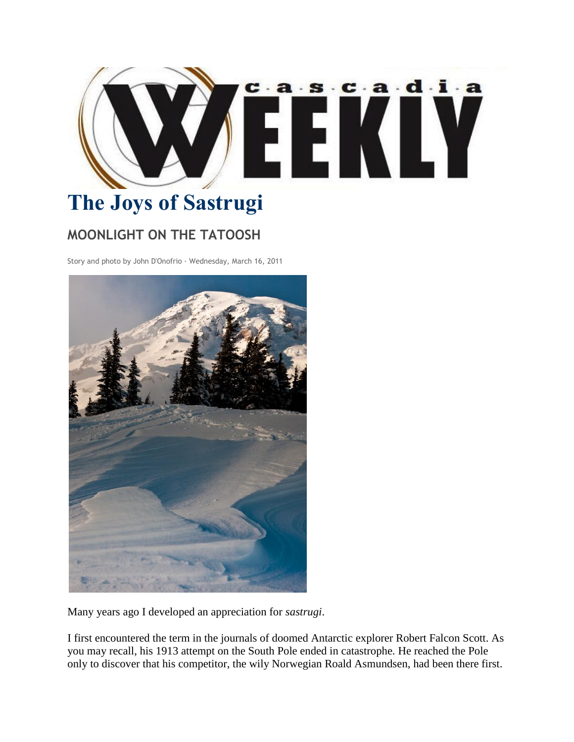

## **The Joys of Sastrugi**

## **MOONLIGHT ON THE TATOOSH**

Story and photo by John D'Onofrio · Wednesday, March 16, 2011



Many years ago I developed an appreciation for *sastrugi*.

I first encountered the term in the journals of doomed Antarctic explorer Robert Falcon Scott. As you may recall, his 1913 attempt on the South Pole ended in catastrophe. He reached the Pole only to discover that his competitor, the wily Norwegian Roald Asmundsen, had been there first.